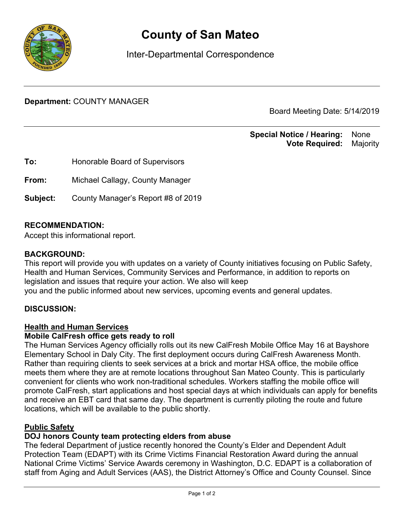

# **County of San Mateo**

Inter-Departmental Correspondence

**Department:** COUNTY MANAGER

Board Meeting Date: 5/14/2019

#### **Special Notice / Hearing:** None\_\_ **Vote Required:** Majority

**To:** Honorable Board of Supervisors **From:** Michael Callagy, County Manager **Subject:** County Manager's Report #8 of 2019

## **RECOMMENDATION:**

Accept this informational report.

#### **BACKGROUND:**

This report will provide you with updates on a variety of County initiatives focusing on Public Safety, Health and Human Services, Community Services and Performance, in addition to reports on legislation and issues that require your action. We also will keep you and the public informed about new services, upcoming events and general updates.

## **DISCUSSION:**

#### Health and Human Services

#### **Mobile CalFresh office gets ready to roll**

The Human Services Agency officially rolls out its new CalFresh Mobile Office May 16 at Bayshore Elementary School in Daly City. The first deployment occurs during CalFresh Awareness Month. Rather than requiring clients to seek services at a brick and mortar HSA office, the mobile office meets them where they are at remote locations throughout San Mateo County. This is particularly convenient for clients who work non-traditional schedules. Workers staffing the mobile office will promote CalFresh, start applications and host special days at which individuals can apply for benefits and receive an EBT card that same day. The department is currently piloting the route and future locations, which will be available to the public shortly.

## Public Safety

## **DOJ honors County team protecting elders from abuse**

The federal Department of justice recently honored the County's Elder and Dependent Adult Protection Team (EDAPT) with its Crime Victims Financial Restoration Award during the annual National Crime Victims' Service Awards ceremony in Washington, D.C. EDAPT is a collaboration of staff from Aging and Adult Services (AAS), the District Attorney's Office and County Counsel. Since